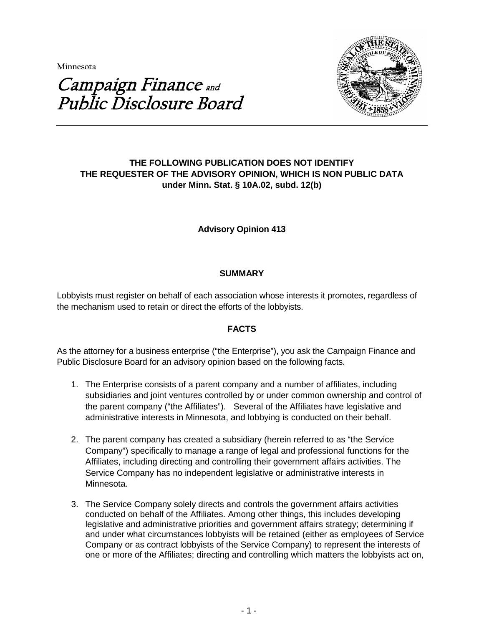**Minnesota** 



# Campaign Finance and Public Disclosure Board

# **THE FOLLOWING PUBLICATION DOES NOT IDENTIFY THE REQUESTER OF THE ADVISORY OPINION, WHICH IS NON PUBLIC DATA under Minn. Stat. § 10A.02, subd. 12(b)**

# **Advisory Opinion 413**

# **SUMMARY**

Lobbyists must register on behalf of each association whose interests it promotes, regardless of the mechanism used to retain or direct the efforts of the lobbyists.

## **FACTS**

As the attorney for a business enterprise ("the Enterprise"), you ask the Campaign Finance and Public Disclosure Board for an advisory opinion based on the following facts.

- 1. The Enterprise consists of a parent company and a number of affiliates, including subsidiaries and joint ventures controlled by or under common ownership and control of the parent company ("the Affiliates"). Several of the Affiliates have legislative and administrative interests in Minnesota, and lobbying is conducted on their behalf.
- 2. The parent company has created a subsidiary (herein referred to as "the Service Company") specifically to manage a range of legal and professional functions for the Affiliates, including directing and controlling their government affairs activities. The Service Company has no independent legislative or administrative interests in Minnesota.
- 3. The Service Company solely directs and controls the government affairs activities conducted on behalf of the Affiliates. Among other things, this includes developing legislative and administrative priorities and government affairs strategy; determining if and under what circumstances lobbyists will be retained (either as employees of Service Company or as contract lobbyists of the Service Company) to represent the interests of one or more of the Affiliates; directing and controlling which matters the lobbyists act on,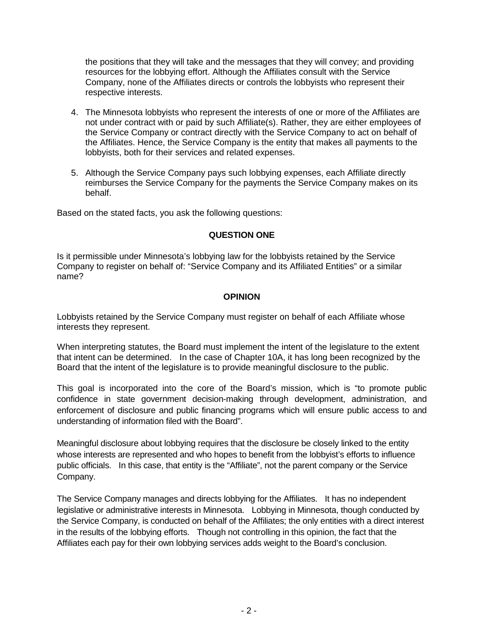the positions that they will take and the messages that they will convey; and providing resources for the lobbying effort. Although the Affiliates consult with the Service Company, none of the Affiliates directs or controls the lobbyists who represent their respective interests.

- 4. The Minnesota lobbyists who represent the interests of one or more of the Affiliates are not under contract with or paid by such Affiliate(s). Rather, they are either employees of the Service Company or contract directly with the Service Company to act on behalf of the Affiliates. Hence, the Service Company is the entity that makes all payments to the lobbyists, both for their services and related expenses.
- 5. Although the Service Company pays such lobbying expenses, each Affiliate directly reimburses the Service Company for the payments the Service Company makes on its behalf.

Based on the stated facts, you ask the following questions:

## **QUESTION ONE**

Is it permissible under Minnesota's lobbying law for the lobbyists retained by the Service Company to register on behalf of: "Service Company and its Affiliated Entities" or a similar name?

# **OPINION**

Lobbyists retained by the Service Company must register on behalf of each Affiliate whose interests they represent.

When interpreting statutes, the Board must implement the intent of the legislature to the extent that intent can be determined. In the case of Chapter 10A, it has long been recognized by the Board that the intent of the legislature is to provide meaningful disclosure to the public.

This goal is incorporated into the core of the Board's mission, which is "to promote public confidence in state government decision-making through development, administration, and enforcement of disclosure and public financing programs which will ensure public access to and understanding of information filed with the Board".

Meaningful disclosure about lobbying requires that the disclosure be closely linked to the entity whose interests are represented and who hopes to benefit from the lobbyist's efforts to influence public officials. In this case, that entity is the "Affiliate", not the parent company or the Service Company.

The Service Company manages and directs lobbying for the Affiliates. It has no independent legislative or administrative interests in Minnesota. Lobbying in Minnesota, though conducted by the Service Company, is conducted on behalf of the Affiliates; the only entities with a direct interest in the results of the lobbying efforts. Though not controlling in this opinion, the fact that the Affiliates each pay for their own lobbying services adds weight to the Board's conclusion.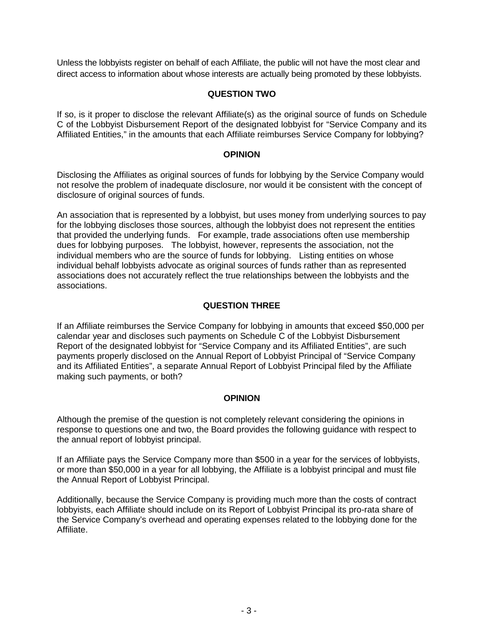Unless the lobbyists register on behalf of each Affiliate, the public will not have the most clear and direct access to information about whose interests are actually being promoted by these lobbyists.

## **QUESTION TWO**

If so, is it proper to disclose the relevant Affiliate(s) as the original source of funds on Schedule C of the Lobbyist Disbursement Report of the designated lobbyist for "Service Company and its Affiliated Entities," in the amounts that each Affiliate reimburses Service Company for lobbying?

## **OPINION**

Disclosing the Affiliates as original sources of funds for lobbying by the Service Company would not resolve the problem of inadequate disclosure, nor would it be consistent with the concept of disclosure of original sources of funds.

An association that is represented by a lobbyist, but uses money from underlying sources to pay for the lobbying discloses those sources, although the lobbyist does not represent the entities that provided the underlying funds. For example, trade associations often use membership dues for lobbying purposes. The lobbyist, however, represents the association, not the individual members who are the source of funds for lobbying. Listing entities on whose individual behalf lobbyists advocate as original sources of funds rather than as represented associations does not accurately reflect the true relationships between the lobbyists and the associations.

# **QUESTION THREE**

If an Affiliate reimburses the Service Company for lobbying in amounts that exceed \$50,000 per calendar year and discloses such payments on Schedule C of the Lobbyist Disbursement Report of the designated lobbyist for "Service Company and its Affiliated Entities", are such payments properly disclosed on the Annual Report of Lobbyist Principal of "Service Company and its Affiliated Entities", a separate Annual Report of Lobbyist Principal filed by the Affiliate making such payments, or both?

## **OPINION**

Although the premise of the question is not completely relevant considering the opinions in response to questions one and two, the Board provides the following guidance with respect to the annual report of lobbyist principal.

If an Affiliate pays the Service Company more than \$500 in a year for the services of lobbyists, or more than \$50,000 in a year for all lobbying, the Affiliate is a lobbyist principal and must file the Annual Report of Lobbyist Principal.

Additionally, because the Service Company is providing much more than the costs of contract lobbyists, each Affiliate should include on its Report of Lobbyist Principal its pro-rata share of the Service Company's overhead and operating expenses related to the lobbying done for the Affiliate.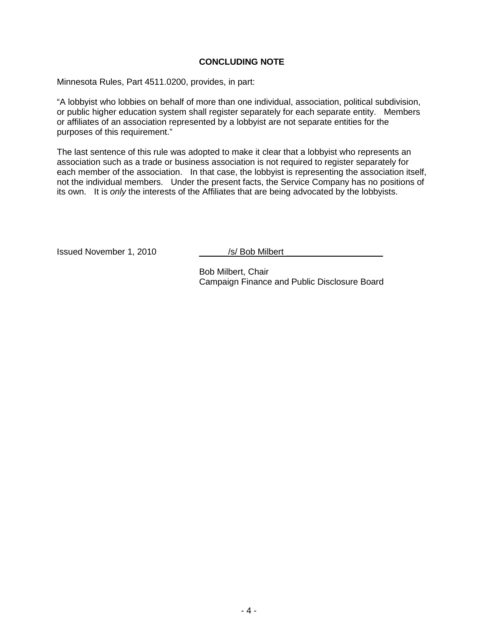### **CONCLUDING NOTE**

Minnesota Rules, Part 4511.0200, provides, in part:

"A lobbyist who lobbies on behalf of more than one individual, association, political subdivision, or public higher education system shall register separately for each separate entity. Members or affiliates of an association represented by a lobbyist are not separate entities for the purposes of this requirement."

The last sentence of this rule was adopted to make it clear that a lobbyist who represents an association such as a trade or business association is not required to register separately for each member of the association. In that case, the lobbyist is representing the association itself, not the individual members. Under the present facts, the Service Company has no positions of its own. It is *only* the interests of the Affiliates that are being advocated by the lobbyists.

Issued November 1, 2010 \_\_\_\_\_\_/s/ Bob Milbert \_\_\_\_\_\_\_\_\_\_\_\_\_\_\_\_\_\_\_\_

Bob Milbert, Chair Campaign Finance and Public Disclosure Board